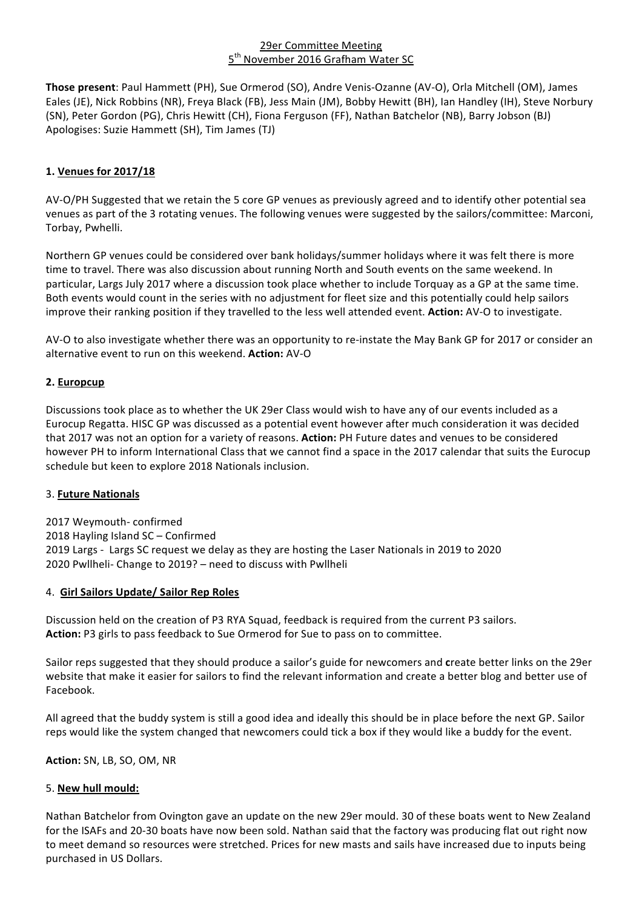### 29er Committee Meeting 5<sup>th</sup> November 2016 Grafham Water SC

**Those present**: Paul Hammett (PH), Sue Ormerod (SO), Andre Venis-Ozanne (AV-O), Orla Mitchell (OM), James Eales (JE), Nick Robbins (NR), Freya Black (FB), Jess Main (JM), Bobby Hewitt (BH), Ian Handley (IH), Steve Norbury (SN), Peter Gordon (PG), Chris Hewitt (CH), Fiona Ferguson (FF), Nathan Batchelor (NB), Barry Jobson (BJ) Apologises: Suzie Hammett (SH), Tim James (TJ)

# **1. Venues for 2017/18**

AV-O/PH Suggested that we retain the 5 core GP venues as previously agreed and to identify other potential sea venues as part of the 3 rotating venues. The following venues were suggested by the sailors/committee: Marconi, Torbay, Pwhelli.

Northern GP venues could be considered over bank holidays/summer holidays where it was felt there is more time to travel. There was also discussion about running North and South events on the same weekend. In particular, Largs July 2017 where a discussion took place whether to include Torquay as a GP at the same time. Both events would count in the series with no adjustment for fleet size and this potentially could help sailors improve their ranking position if they travelled to the less well attended event. Action: AV-O to investigate.

AV-O to also investigate whether there was an opportunity to re-instate the May Bank GP for 2017 or consider an alternative event to run on this weekend. **Action:** AV-O

# **2. Europcup**

Discussions took place as to whether the UK 29er Class would wish to have any of our events included as a Eurocup Regatta. HISC GP was discussed as a potential event however after much consideration it was decided that 2017 was not an option for a variety of reasons. Action: PH Future dates and venues to be considered however PH to inform International Class that we cannot find a space in the 2017 calendar that suits the Eurocup schedule but keen to explore 2018 Nationals inclusion.

### 3. **Future Nationals**

2017 Weymouth- confirmed 2018 Hayling Island SC - Confirmed 2019 Largs - Largs SC request we delay as they are hosting the Laser Nationals in 2019 to 2020 2020 Pwllheli- Change to 2019? - need to discuss with Pwllheli

### 4. **Girl Sailors Update/ Sailor Rep Roles**

Discussion held on the creation of P3 RYA Squad, feedback is required from the current P3 sailors. Action: P3 girls to pass feedback to Sue Ormerod for Sue to pass on to committee.

Sailor reps suggested that they should produce a sailor's guide for newcomers and create better links on the 29er website that make it easier for sailors to find the relevant information and create a better blog and better use of Facebook.

All agreed that the buddy system is still a good idea and ideally this should be in place before the next GP. Sailor reps would like the system changed that newcomers could tick a box if they would like a buddy for the event.

### **Action:** SN, LB, SO, OM, NR

# 5. **New hull mould:**

Nathan Batchelor from Ovington gave an update on the new 29er mould. 30 of these boats went to New Zealand for the ISAFs and 20-30 boats have now been sold. Nathan said that the factory was producing flat out right now to meet demand so resources were stretched. Prices for new masts and sails have increased due to inputs being purchased in US Dollars.